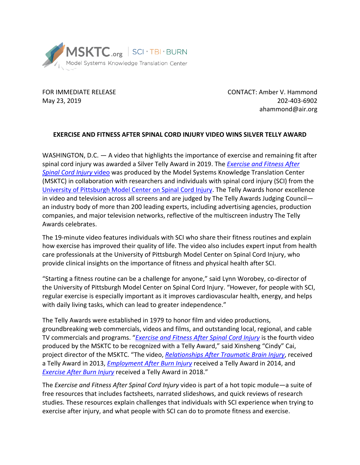

FOR IMMEDIATE RELEASE CONTACT: Amber V. Hammond May 23, 2019 202-403-6902 ahammond@air.org

## **EXERCISE AND FITNESS AFTER SPINAL CORD INJURY VIDEO WINS SILVER TELLY AWARD**

WASHINGTON, D.C.  $-$  A video that highlights the importance of exercise and remaining fit after spinal cord injury was awarded a Silver Telly Award in 2019. The *[Exercise and Fitness After](https://msktc.org/sci/Hot-Topics/Exercise/exercise-and-fitness-after-spinal-cord-injury)  [Spinal Cord Injury](https://msktc.org/sci/Hot-Topics/Exercise/exercise-and-fitness-after-spinal-cord-injury)* video was produced by the Model Systems Knowledge Translation Center (MSKTC) in collaboration with researchers and individuals with spinal cord injury (SCI) from the [University of Pittsburgh Model Center on Spinal Cord Injury.](https://msktc.org/researchcenter/detail/PittSCI) The Telly Awards honor excellence in video and television across all screens and are judged by The Telly Awards Judging Council an industry body of more than 200 leading experts, including advertising agencies, production companies, and major television networks, reflective of the multiscreen industry The Telly Awards celebrates.

The 19-minute video features individuals with SCI who share their fitness routines and explain how exercise has improved their quality of life. The video also includes expert input from health care professionals at the University of Pittsburgh Model Center on Spinal Cord Injury, who provide clinical insights on the importance of fitness and physical health after SCI.

"Starting a fitness routine can be a challenge for anyone," said Lynn Worobey, co-director of the University of Pittsburgh Model Center on Spinal Cord Injury. "However, for people with SCI, regular exercise is especially important as it improves cardiovascular health, energy, and helps with daily living tasks, which can lead to greater independence."

The Telly Awards were established in 1979 to honor film and video productions, groundbreaking web commercials, videos and films, and outstanding local, regional, and cable TV commercials and programs. "*[Exercise and Fitness After Spinal Cord Injury](https://msktc.org/sci/Hot-Topics/Exercise/exercise-and-fitness-after-spinal-cord-injury)* is the fourth video produced by the MSKTC to be recognized with a Telly Award," said Xinsheng "Cindy" Cai, project director of the MSKTC. "The video, *[Relationships After Traumatic Brain Injury](http://www.msktc.org/tbi/Hot-Topics/Relationships/Relationships-after-TBI)*, received a Telly Award in 2013, *[Employment After Burn Injury](http://www.msktc.org/burn/Hot-Topics/Employment/Employment-after-Burn)* received a Telly Award in 2014, and *[Exercise After Burn Injury](https://msktc.org/burn/Hot-Topics/Exercise/Exercise-After-Burn-Injury)* received a Telly Award in 2018."

The *Exercise and Fitness After Spinal Cord Injury* video is part of a hot topic module—a suite of free resources that includes factsheets, narrated slideshows, and quick reviews of research studies. These resources explain challenges that individuals with SCI experience when trying to exercise after injury, and what people with SCI can do to promote fitness and exercise.